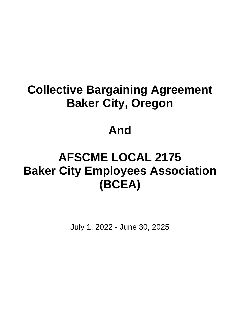# **Collective Bargaining Agreement Baker City, Oregon**

# **And**

# **AFSCME LOCAL 2175 Baker City Employees Association (BCEA)**

July 1, 2022 - June 30, 2025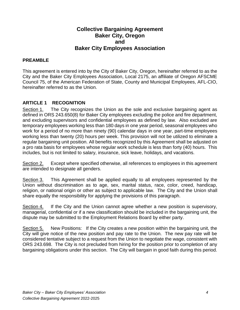#### **Collective Bargaining Agreement Baker City, Oregon and Baker City Employees Association**

#### **PREAMBLE**

This agreement is entered into by the City of Baker City, Oregon, hereinafter referred to as the City and the Baker City Employees Association, Local 2175, an affiliate of Oregon AFSCME Council 75, of the American Federation of State, County and Municipal Employees, AFL-CIO, hereinafter referred to as the Union.

#### **ARTICLE 1 RECOGNITION**

Section 1. The City recognizes the Union as the sole and exclusive bargaining agent as defined in ORS 243.650(8) for Baker City employees excluding the police and fire department, and excluding supervisors and confidential employees as defined by law. Also excluded are temporary employees working less than 180 days in one year period, seasonal employees who work for a period of no more than ninety (90) calendar days in one year, part-time employees working less than twenty (20) hours per week. This provision will not be utilized to eliminate a regular bargaining unit position. All benefits recognized by this Agreement shall be adjusted on a pro rata basis for employees whose regular work schedule is less than forty (40) hours. This includes, but is not limited to salary, insurance, sick leave, holidays, and vacations.

Section 2. Except where specified otherwise, all references to employees in this agreement are intended to designate all genders.

Section 3. This Agreement shall be applied equally to all employees represented by the Union without discrimination as to age, sex, marital status, race, color, creed, handicap, religion, or national origin or other as subject to applicable law. The City and the Union shall share equally the responsibility for applying the provisions of this paragraph.

Section 4. If the City and the Union cannot agree whether a new position is supervisory, managerial, confidential or if a new classification should be included in the bargaining unit, the dispute may be submitted to the Employment Relations Board by either party.

Section 5. New Positions: If the City creates a new position within the bargaining unit, the City will give notice of the new position and pay rate to the Union. The new pay rate will be considered tentative subject to a request from the Union to negotiate the wage, consistent with ORS 243.698. The City is not precluded from hiring for the position prior to completion of any bargaining obligations under this section. The City will bargain in good faith during this period.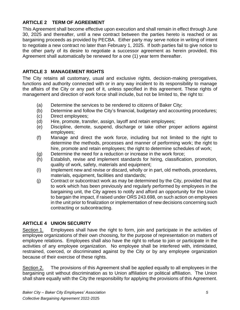#### **ARTICLE 2 TERM OF AGREEMENT**

This Agreement shall become effective upon execution and shall remain in effect through June 30, 2025 and thereafter, until a new contract between the parties hereto is reached or as bargaining proceeds as provided by PECBA. Either party may serve notice in writing of intent to negotiate a new contract no later than February 1, 2025. If both parties fail to give notice to the other party of its desire to negotiate a successor agreement as herein provided, this Agreement shall automatically be renewed for a one (1) year term thereafter.

#### **ARTICLE 3 MANAGEMENT RIGHTS**

The City retains all customary, usual and exclusive rights, decision-making prerogatives, functions and authority connected with or in any way incident to its responsibility to manage the affairs of the City or any part of it, unless specified in this agreement. These rights of management and direction of work force shall include, but not be limited to, the right to:

- (a) Determine the services to be rendered to citizens of Baker City;
- (b) Determine and follow the City's financial, budgetary and accounting procedures;
- (c) Direct employees;
- (d) Hire, promote, transfer, assign, layoff and retain employees;
- (e) Discipline, demote, suspend, discharge or take other proper actions against employees;
- (f) Manage and direct the work force, including but not limited to the right to determine the methods, processes and manner of performing work; the right to hire, promote and retain employees; the right to determine schedules of work;
- (g) Determine the need for a reduction or increase in the work force;
- (h) Establish, revise and implement standards for hiring, classification, promotion, quality of work, safety, materials and equipment;
- (I) Implement new and revise or discard, wholly or in part, old methods, procedures, materials, equipment, facilities and standards;
- (j) Contract or subcontract work as may be determined by the City, provided that as to work which has been previously and regularly performed by employees in the bargaining unit, the City agrees to notify and afford an opportunity for the Union to bargain the impact, if raised under ORS 243.698, on such action on employees in the unit prior to finalization or implementation of new decisions concerning such contracting or subcontracting.

#### **ARTICLE 4 UNION SECURITY**

Section 1. Employees shall have the right to form, join and participate in the activities of employee organizations of their own choosing, for the purpose of representation on matters of employee relations. Employees shall also have the right to refuse to join or participate in the activities of any employee organization. No employee shall be interfered with, intimidated, restrained, coerced, or discriminated against by the City or by any employee organization because of their exercise of these rights.

Section 2. The provisions of this Agreement shall be applied equally to all employees in the bargaining unit without discrimination as to Union affiliation or political affiliation. The Union shall share equally with the City the responsibility for applying the provisions of this Agreement.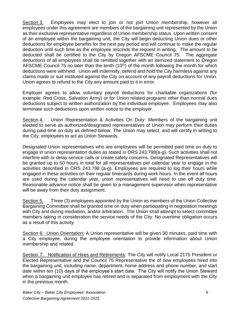Section 3. Employees may elect to join or not join Union membership, however all employees under this agreement are members of the bargaining unit represented by the Union as their exclusive representative regardless of Union membership status. Upon written consent of an employee within the bargaining unit, the City will begin deducting Union dues or other deductions for employee benefits for the next pay period and will continue to make the regular deduction until such time as the employee rescinds the request in writing. The amount to be deducted shall be certified to the City by Oregon AFSCME Council 75. The aggregate deductions of all employees shall be remitted together with an itemized statement to Oregon AFSCME Council 75 no later than the tenth  $(10<sup>th</sup>)$  of the month following the month for which deductions were withheld. Union will indemnify, defend and hold the City harmless against any claims made or suit instituted against the City on account of any payroll deductions for Union. Union agrees to refund to the City any amount paid to it in error.

Employer agrees to allow voluntary payroll deductions for charitable organizations (for example: Red Cross, Salvation Army) or for Union related programs other than normal dues deductions subject to written authorization by the individual employee. Employees may also terminate such deductions upon written notice to the employer.

Section 4. Union Representation & Activities On Duty: Members of the bargaining unit elected to serve as authorized/designated representatives of Union may perform their duties during paid time on duty as defined below. The Union may select, and will certify in writing to the City, employees to act as Union Stewards.

Designated Union representatives who are employees will be permitted paid time on duty to engage in union representation duties as stated in ORS 243.798(a-g). Such activities shall not interfere with or delay service calls or create safety concerns. Designated Representatives will be granted up to 50 hours in total for all representatives per calendar year to engage in the activities described in ORS 243.798 (a-g). Employees are required to log their hours while engaged in these activities on their regular timecards during work hours. In the event all hours are used during the calendar year, union representatives will need to use off duty time. Reasonable advance notice shall be given to a management supervisor when representative will be away from their duty assignment.

Section 5. Three (3) employees appointed by the Union as members of the Union Collective Bargaining Committee shall be granted time on duty when participating in negotiation meetings with City and during mediation, and/or arbitration. The Union shall attempt to select committee members taking in consideration the service needs of the City. No overtime obligation occurs as a result of this activity.

Section 6: Union Orientation: A Union representative will be given 30 minutes, paid time with a City employee, during the employee orientation to provide information about Union membership and related.

Section 7: Notification of Hires and Retirements: The City will notify Local 2175 President or Elected Representative and the Council 75 Representative the of new employees hired into the bargaining unit, including name, department, home address and phone number, and start date within ten (10) days of the employee's start date. The City will notify the Union Steward when a bargaining unit employee has retired and is separated from employment with the City in the previous month.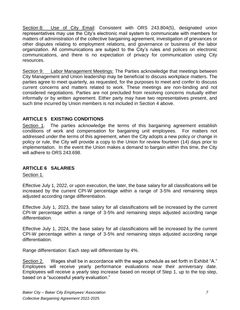Section 8: Use of City Email: Consistent with ORS 243.804(5), designated union representatives may use the City's electronic mail system to communicate with members for matters of administration of the collective bargaining agreement, investigation of grievances or other disputes relating to employment relations, and governance or business of the labor organization. All communications are subject to the City's rules and polices on electronic communications, and there is no expectation of privacy for communication using City resources.

Section 9: Labor Management Meetings: The Parties acknowledge that meetings between City Management and Union leadership may be beneficial to discuss workplace matters. The parties agree to meet quarterly, as requested, for the purposes to meet and confer to discuss current concerns and matters related to work. These meetings are non-binding and not considered negotiations. Parties are not precluded from resolving concerns mutually either informally or by written agreement. Either party may have two representatives present, and such time incurred by Union members is not included in Section 4 above.

#### **ARTICLE 5 EXISTING CONDITIONS**

Section 1. The parties acknowledge the terms of this bargaining agreement establish conditions of work and compensation for bargaining unit employees. For matters not addressed under the terms of this agreement, when the City adopts a new policy or change in policy or rule, the City will provide a copy to the Union for review fourteen (14) days prior to implementation. In the event the Union makes a demand to bargain within this time, the City will adhere to ORS 243.698.

#### **ARTICLE 6 SALARIES**

#### Section 1.

Effective July 1, 2022, or upon execution, the later, the base salary for all classifications will be increased by the current CPI-W percentage within a range of 3-5% and remaining steps adjusted according range differentiation.

Effective July 1, 2023, the base salary for all classifications will be increased by the current CPI-W percentage within a range of 3-5% and remaining steps adjusted according range differentiation.

Effective July 1, 2024, the base salary for all classifications will be increased by the current CPI-W percentage within a range of 3-5% and remaining steps adjusted according range differentiation.

Range differentiation: Each step will differentiate by 4%.

Section 2. Wages shall be in accordance with the wage schedule as set forth in Exhibit "A." Employees will receive yearly performance evaluations near their anniversary date. Employees will receive a yearly step increase based on receipt of Step 1, up to the top step, based on a "successful yearly evaluation."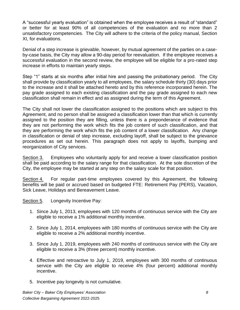A "successful yearly evaluation" is obtained when the employee receives a result of "standard" or better for at least 90% of all competencies of the evaluation and no more than 2 unsatisfactory competencies. The City will adhere to the criteria of the policy manual, Section XI, for evaluations.

Denial of a step increase is grievable, however, by mutual agreement of the parties on a caseby-case basis, the City may allow a 90-day period for reevaluation. If the employee receives a successful evaluation in the second review, the employee will be eligible for a pro-rated step increase in efforts to maintain yearly steps.

Step "1" starts at six months after initial hire and passing the probationary period. The City shall provide by classification yearly to all employees, the salary schedule thirty (30) days prior to the increase and it shall be attached hereto and by this reference incorporated herein. The pay grade assigned to each existing classification and the pay grade assigned to each new classification shall remain in effect and as assigned during the term of this Agreement.

The City shall not lower the classification assigned to the positions which are subject to this Agreement, and no person shall be assigned a classification lower than that which is currently assigned to the position they are filling, unless there is a preponderance of evidence that they are not performing the work which fits the job content of such classification, and that they are performing the work which fits the job content of a lower classification. Any change in classification or denial of step increase, excluding layoff, shall be subject to the grievance procedures as set out herein. This paragraph does not apply to layoffs, bumping and reorganization of City services.

Section 3. Employees who voluntarily apply for and receive a lower classification position shall be paid according to the salary range for that classification. At the sole discretion of the City, the employee may be started at any step on the salary scale for that position.

Section 4. For regular part-time employees covered by this Agreement, the following benefits will be paid or accrued based on budgeted FTE: Retirement Pay (PERS), Vacation, Sick Leave, Holidays and Bereavement Leave.

Section 5. Longevity Incentive Pay:

- 1. Since July 1, 2013, employees with 120 months of continuous service with the City are eligible to receive a 1% additional monthly incentive.
- 2. Since July 1, 2014, employees with 180 months of continuous service with the City are eligible to receive a 2% additional monthly incentive.
- 3. Since July 1, 2019, employees with 240 months of continuous service with the City are eligible to receive a 3% (three percent) monthly incentive.
- 4. Effective and retroactive to July 1, 2019, employees with 300 months of continuous service with the City are eligible to receive 4% (four percent) additional monthly incentive.
- 5. Incentive pay longevity is not cumulative.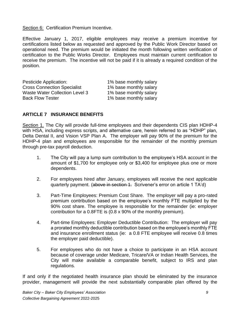Section 6: Certification Premium Incentive.

Effective January 1, 2017, eligible employees may receive a premium incentive for certifications listed below as requested and approved by the Public Work Director based on operational need. The premium would be initiated the month following written verification of certification to the Public Works Director. Employees must maintain current certification to receive the premium. The incentive will not be paid if it is already a required condition of the position.

| 1% base monthly salary |
|------------------------|
| 1% base monthly salary |
| 1% base monthly salary |
| 1% base monthly salary |
|                        |

#### **ARTICLE 7 INSURANCE BENEFITS**

Section 1. The City will provide full-time employees and their dependents CIS plan HDHP-4 with HSA, including express scripts, and alternative care, herein referred to as "HDHP" plan, Delta Dental II, and Vision VSP Plan A. The employer will pay 90% of the premium for the HDHP-4 plan and employees are responsible for the remainder of the monthly premium through pre-tax payroll deduction.

- 1. The City will pay a lump sum contribution to the employee's HSA account in the amount of \$1,700 for employee only or \$3,400 for employee plus one or more dependents.
- 2. For employees hired after January, employees will receive the next applicable quarterly payment. (above in section 1. Scrivener's error on article 1 TA'd)
- 3. Part-Time Employees: Premium Cost Share. The employer will pay a pro-rated premium contribution based on the employee's monthly FTE multiplied by the 90% cost share. The employee is responsible for the remainder (ie: employer contribution for a 0.8FTE is (0.8 x 90% of the monthly premium).
- 4. Part-time Employees: Employer Deductible Contribution: The employer will pay a prorated monthly deductible contribution based on the employee's monthly FTE and insurance enrollment status (ie: a 0.8 FTE employee will receive 0.8 times the employer paid deductible).
- 5. For employees who do not have a choice to participate in an HSA account because of coverage under Medicare, Tricare/VA or Indian Health Services, the City will make available a comparable benefit, subject to IRS and plan regulations*.*

If and only if the negotiated health insurance plan should be eliminated by the insurance provider, management will provide the next substantially comparable plan offered by the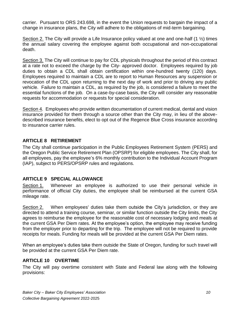carrier. Pursuant to ORS 243.698, in the event the Union requests to bargain the impact of a change in insurance plans, the City will adhere to the obligations of mid-term bargaining.

Section 2. The City will provide a Life Insurance policy valued at one and one-half  $(1\frac{1}{2})$  times the annual salary covering the employee against both occupational and non-occupational death.

Section 3. The City will continue to pay for CDL physicals throughout the period of this contract at a rate not to exceed the charge by the City- approved doctor. Employees required by job duties to obtain a CDL shall obtain certification within one-hundred twenty (120) days. Employees required to maintain a CDL are to report to Human Resources any suspension or revocation of the CDL upon returning to the next day of work and prior to driving any public vehicle. Failure to maintain a CDL, as required by the job, is considered a failure to meet the essential functions of the job. On a case-by-case basis, the City will consider any reasonable requests for accommodation or requests for special consideration.

Section 4. Employees who provide written documentation of current medical, dental and vision insurance provided for them through a source other than the City may, in lieu of the abovedescribed insurance benefits, elect to opt out of the Regence Blue Cross insurance according to insurance carrier rules.

#### **ARTICLE 8 RETIREMENT**

The City shall continue participation in the Public Employees Retirement System (PERS) and the Oregon Public Service Retirement Plan (OPSRP) for eligible employees. The City shall, for all employees, pay the employee's 6% monthly contribution to the Individual Account Program (IAP), subject to PERS/OPSRP rules and regulations.

#### **ARTICLE 9 SPECIAL ALLOWANCE**

Section 1. Whenever an employee is authorized to use their personal vehicle in performance of official City duties, the employee shall be reimbursed at the current GSA mileage rate.

Section 2. When employees' duties take them outside the City's jurisdiction, or they are directed to attend a training course, seminar, or similar function outside the City limits, the City agrees to reimburse the employee for the reasonable cost of necessary lodging and meals at the current GSA Per Diem rates. At the employee's option, the employee may receive funding from the employer prior to departing for the trip. The employee will not be required to provide receipts for meals. Funding for meals will be provided at the current GSA Per Diem rates.

When an employee's duties take them outside the State of Oregon, funding for such travel will be provided at the current GSA Per Diem rate.

#### **ARTICLE 10 OVERTIME**

The City will pay overtime consistent with State and Federal law along with the following provisions: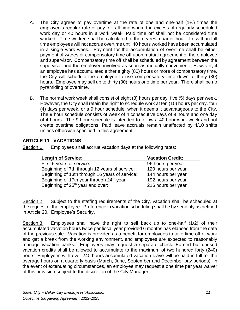- A. The City agrees to pay overtime at the rate of one and one-half  $(1\frac{1}{2})$  times the employee's regular rate of pay for, all time worked in excess of regularly scheduled work day or 40 hours in a work week. Paid time off shall not be considered time worked. Time worked shall be calculated to the nearest quarter-hour. Less than full time employees will not accrue overtime until 40 hours worked have been accumulated in a single work week. Payment for the accumulation of overtime shall be either payment of wages or compensatory time off upon mutual agreement of the employee and supervisor. Compensatory time off shall be scheduled by agreement between the supervisor and the employee involved as soon as mutually convenient. However, if an employee has accumulated either eighty (80) hours or more of compensatory time, the City will schedule the employee to use compensatory time down to thirty (30) hours. Employee may sell up to thirty (30) hours one time per year. There shall be no pyramiding of overtime.
- B. The normal work week shall consist of eight (8) hours per day, five (5) days per week. However, the City shall retain the right to schedule work at ten (10) hours per day, four (4) days per week, or a 9 hour schedule, when it deems it advantageous to the City. The 9 hour schedule consists of week of 4 consecutive days of 9 hours and one day of 4 hours. The 9 hour schedule is intended to follow a 40 hour work week and not create overtime obligations. Paid leave accruals remain unaffected by 4/10 shifts unless otherwise specified in this agreement.

#### **ARTICLE 11 VACATIONS**

Section 1. Employees shall accrue vacation days at the following rates:

| <b>Length of Service:</b>                             | <b>Vacation Credit:</b> |
|-------------------------------------------------------|-------------------------|
| First 6 years of service:                             | 96 hours per year       |
| Beginning of 7th through 12 years of service:         | 120 hours per year      |
| Beginning of 13th through 16 years of service:        | 144 hours per year      |
| Beginning of 17th year through 24 <sup>th</sup> year: | 192 hours per year      |
| Beginning of 25 <sup>th</sup> year and over:          | 216 hours per year      |

Section 2. Subject to the staffing requirements of the City, vacation shall be scheduled at the request of the employee. Preference in vacation scheduling shall be by seniority as defined in Article 20. Employee's Security.

Section 3. Employees shall have the right to sell back up to one-half (1/2) of their accumulated vacation hours twice per fiscal year provided 6 months has elapsed from the date of the previous sale. Vacation is provided as a benefit for employees to take time off of work and get a break from the working environment, and employees are expected to reasonably manage vacation banks. Employees may request a separate check. Earned but unused vacation credits shall be allowed to accumulate to the maximum of two hundred forty (240) hours. Employees with over 240 hours accumulated vacation leave will be paid in full for the overage hours on a quarterly basis (March, June, September and December pay periods). In the event of extenuating circumstances, an employee may request a one time per year waiver of this provision subject to the discretion of the City Manager.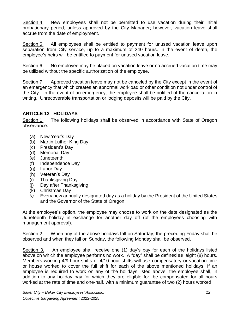Section 4. New employees shall not be permitted to use vacation during their initial probationary period, unless approved by the City Manager; however, vacation leave shall accrue from the date of employment.

Section 5. All employees shall be entitled to payment for unused vacation leave upon separation from City service, up to a maximum of 240 hours. In the event of death, the employee's heirs will be entitled to payment for unused vacation leave.

Section 6. No employee may be placed on vacation leave or no accrued vacation time may be utilized without the specific authorization of the employee.

Section 7. Approved vacation leave may not be canceled by the City except in the event of an emergency that which creates an abnormal workload or other condition not under control of the City. In the event of an emergency, the employee shall be notified of the cancellation in writing. Unrecoverable transportation or lodging deposits will be paid by the City.

#### **ARTICLE 12 HOLIDAYS**

Section 1. The following holidays shall be observed in accordance with State of Oregon observance:

- (a) New Year's Day
- (b) Martin Luther King Day
- (c) President's Day
- (d) Memorial Day
- (e) Juneteenth
- (f) Independence Day
- (g) Labor Day
- (h) Veteran's Day
- (i) Thanksgiving Day
- (j) Day after Thanksgiving
- (k) Christmas Day
- *(l)* Every new annually designated day as a holiday by the President of the United States and the Governor of the State of Oregon.

At the employee's option, the employee may choose to work on the date designated as the Juneteenth holiday in exchange for another day off (of the employees choosing with management approval).

Section 2. When any of the above holidays fall on Saturday, the preceding Friday shall be observed and when they fall on Sunday, the following Monday shall be observed.

Section 3. An employee shall receive one (1) day's pay for each of the holidays listed above on which the employee performs no work. A "day" shall be defined as eight (8) hours. Members working 4/9-hour shifts or 4/10-hour shifts will use compensatory or vacation time or house worked to cover the full shift for each of the above mentioned holidays. If an employee is required to work on any of the holidays listed above, the employee shall, in addition to any holiday pay for which they are eligible for, be compensated for all hours worked at the rate of time and one-half, with a minimum guarantee of two (2) hours worked.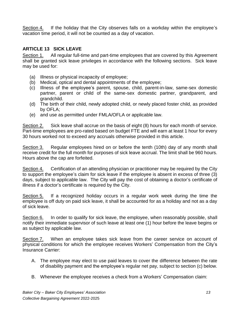Section 4. If the holiday that the City observes falls on a workday within the employee's vacation time period, it will not be counted as a day of vacation.

#### **ARTICLE 13 SICK LEAVE**

Section 1. All regular full-time and part-time employees that are covered by this Agreement shall be granted sick leave privileges in accordance with the following sections. Sick leave may be used for:

- (a) Illness or physical incapacity of employee;
- (b) Medical, optical and dental appointments of the employee;
- (c) Illness of the employee's parent, spouse, child, parent-in-law, same-sex domestic partner, parent or child of the same-sex domestic partner, grandparent, and grandchild.
- (d) The birth of their child, newly adopted child, or newly placed foster child, as provided by OFLA;
- (e) and use as permitted under FMLA/OFLA or applicable law.

Section 2. Sick leave shall accrue on the basis of eight (8) hours for each month of service. Part-time employees are pro-rated based on budget FTE and will earn at least 1 hour for every 30 hours worked not to exceed any accruals otherwise provided in this article.

Section 3. Regular employees hired on or before the tenth (10th) day of any month shall receive credit for the full month for purposes of sick leave accrual. The limit shall be 960 hours. Hours above the cap are forfeited.

Section 4. Certification of an attending physician or practitioner may be required by the City to support the employee's claim for sick leave if the employee is absent in excess of three (3) days, subject to applicable law. The City will pay the cost of obtaining a doctor's certificate of illness if a doctor's certificate is required by the City.

Section 5. If a recognized holiday occurs in a regular work week during the time the employee is off duty on paid sick leave, it shall be accounted for as a holiday and not as a day of sick leave.

Section 6. In order to qualify for sick leave, the employee, when reasonably possible, shall notify their immediate supervisor of such leave at least one (1) hour before the leave begins or as subject by applicable law.

Section 7. When an employee takes sick leave from the career service on account of physical conditions for which the employee receives Workers' Compensation from the City's Insurance Carrier:

- A. The employee may elect to use paid leaves to cover the difference between the rate of disability payment and the employee's regular net pay, subject to section (c) below.
- B. Whenever the employee receives a check from a Workers' Compensation claim: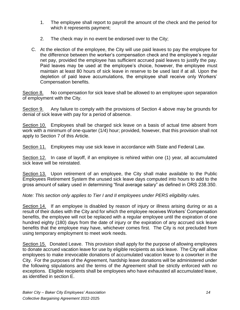- 1. The employee shall report to payroll the amount of the check and the period for which it represents payment;
- 2. The check may in no event be endorsed over to the City;
- C. At the election of the employee, the City will use paid leaves to pay the employee for the difference between the worker's compensation check and the employee's regular net pay, provided the employee has sufficient accrued paid leaves to justify the pay. Paid leaves may be used at the employee's choice, however, the employee must maintain at least 80 hours of sick leave in reserve to be used last if at all. Upon the depletion of paid leave accumulations, the employee shall receive only Workers' Compensation benefits.

Section 8. No compensation for sick leave shall be allowed to an employee upon separation of employment with the City.

Section 9. Any failure to comply with the provisions of Section 4 above may be grounds for denial of sick leave with pay for a period of absence.

Section 10. Employees shall be charged sick leave on a basis of actual time absent from work with a minimum of one-quarter (1/4) hour; provided, however, that this provision shall not apply to Section 7 of this Article.

Section 11. Employees may use sick leave in accordance with State and Federal Law.

Section 12. In case of layoff, if an employee is rehired within one (1) year, all accumulated sick leave will be reinstated.

Section 13. Upon retirement of an employee, the City shall make available to the Public Employees Retirement System the unused sick leave days computed into hours to add to the gross amount of salary used in determining "final average salary" as defined in ORS 238.350.

*Note: This section only applies to Tier I and II employees under PERS eligibility rules.*

Section 14. If an employee is disabled by reason of injury or illness arising during or as a result of their duties with the City and for which the employee receives Workers' Compensation benefits, the employee will not be replaced with a regular employee until the expiration of one hundred eighty (180) days from the date of injury or the expiration of any accrued sick leave benefits that the employee may have, whichever comes first. The City is not precluded from using temporary employment to meet work needs.

Section 15. Donated Leave. This provision shall apply for the purpose of allowing employees to donate accrued vacation leave for use by eligible recipients as sick leave. The City will allow employees to make irrevocable donations of accumulated vacation leave to a coworker in the City. For the purposes of the Agreement, hardship leave donations will be administered under the following stipulations and the terms of the Agreement shall be strictly enforced with no exceptions. Eligible recipients shall be employees who have exhausted all accumulated leave, as identified in section E.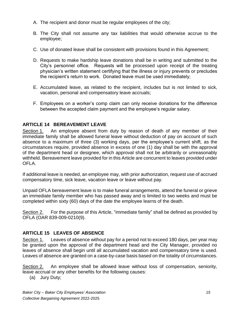- A. The recipient and donor must be regular employees of the city;
- B. The City shall not assume any tax liabilities that would otherwise accrue to the employee;
- C. Use of donated leave shall be consistent with provisions found in this Agreement;
- D. Requests to make hardship leave donations shall be in writing and submitted to the City's personnel office. Requests will be processed upon receipt of the treating physician's written statement certifying that the illness or injury prevents or precludes the recipient's return to work. Donated leave must be used immediately;
- E. Accumulated leave, as related to the recipient, includes but is not limited to sick, vacation, personal and compensatory leave accruals;
- F. Employees on a worker's comp claim can only receive donations for the difference between the accepted claim payment and the employee's regular salary.

#### **ARTICLE 14 BEREAVEMENT LEAVE**

Section 1. An employee absent from duty by reason of death of any member of their immediate family shall be allowed funeral leave without deduction of pay on account of such absence to a maximum of three (3) working days, per the employee's current shift, as the circumstances require, provided absence in excess of one (1) day shall be with the approval of the department head or designee, which approval shall not be arbitrarily or unreasonably withheld. Bereavement leave provided for in this Article are concurrent to leaves provided under OFLA.

If additional leave is needed, an employee may, with prior authorization, request use of accrued compensatory time, sick leave, vacation leave or leave without pay.

Unpaid OFLA bereavement leave is to make funeral arrangements, attend the funeral or grieve an immediate family member who has passed away and is limited to two weeks and must be completed within sixty (60) days of the date the employee learns of the death.

Section 2. For the purpose of this Article, "immediate family" shall be defined as provided by OFLA (OAR 839-009-0210(9).

#### **ARTICLE 15 LEAVES OF ABSENCE**

Section 1. Leaves of absence without pay for a period not to exceed 180 days, per year may be granted upon the approval of the department head and the City Manager, provided no leaves of absence shall begin until all accumulated vacation and compensatory time is used. Leaves of absence are granted on a case-by-case basis based on the totality of circumstances.

Section 2. An employee shall be allowed leave without loss of compensation, seniority, leave accrual or any other benefits for the following causes:

(a) Jury Duty;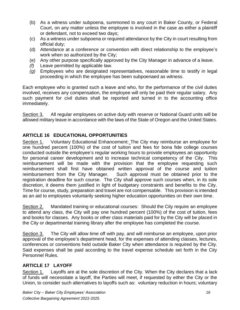- (b) As a witness under subpoena, summoned to any court in Baker County, or Federal Court, on any matter unless the employee is involved in the case as either a plaintiff or defendant, not to exceed two days;
- (c) As a witness under subpoena or required attendance by the City in court resulting from official duty;
- (d) Attendance at a conference or convention with direct relationship to the employee's work when so authorized by the City;
- (e) Any other purpose specifically approved by the City Manager in advance of a leave.
- *(f)* Leave permitted by applicable law.
- *(g)* Employees who are designated representatives, reasonable time to testify in legal proceeding in which the employee has been subpoenaed as witness.

Each employee who is granted such a leave and who, for the performance of the civil duties involved, receives any compensation, the employee will only be paid their regular salary. Any such payment for civil duties shall be reported and turned in to the accounting office immediately.

Section 3. All regular employees on active duty with reserve or National Guard units will be allowed military leave in accordance with the laws of the State of Oregon and the United States.

#### **ARTICLE 16 EDUCATIONAL OPPORTUNITIES**

Section 1. Voluntary Educational Enhancement: The City may reimburse an employee for one hundred percent (100%) of the cost of tuition and fees for bona fide college courses conducted outside the employee's regular working hours to provide employees an opportunity for personal career development and to increase technical competency of the City. This reimbursement will be made with the provision that the employee requesting such reimbursement shall first have obtained written approval of the course and tuition reimbursement from the City Manager. Such approval must be obtained prior to the registration deadline for such course. The City shall approve such courses when, in its sole discretion, it deems them justified in light of budgetary constraints and benefits to the City. Time for course, study, preparation and travel are not compensable. This provision is intended as an aid to employees voluntarily seeking higher education opportunities on their own time.

Section 2. Mandated training or educational courses: Should the City require an employee to attend any class, the City will pay one hundred percent (100%) of the cost of tuition, fees and books for classes. Any books or other class materials paid for by the City will be placed in the City or departmental training library after the employee has completed the course.

Section 3. The City will allow time off with pay, and will reimburse an employee, upon prior approval of the employee's department head, for the expenses of attending classes, lectures, conferences or conventions held outside Baker City when attendance is required by the City. Said expenses shall be paid according to the travel expense schedule set forth in the City Personnel Rules.

#### **ARTICLE 17 LAYOFF**

Section 1. Layoffs are at the sole discretion of the City. When the City declares that a lack of funds will necessitate a layoff, the Parties will meet, if requested by either the City or the Union, to consider such alternatives to layoffs such as: voluntary reduction in hours; voluntary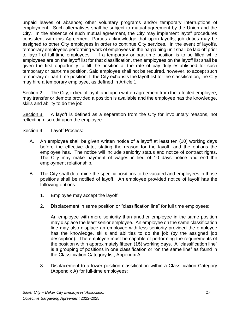unpaid leaves of absence; other voluntary programs and/or temporary interruptions of employment. Such alternatives shall be subject to mutual agreement by the Union and the City. In the absence of such mutual agreement, the City may implement layoff procedures consistent with this Agreement. Parties acknowledge that upon layoffs, job duties may be assigned to other City employees in order to continue City services. In the event of layoffs, temporary employees performing work of employees in the bargaining unit shall be laid off prior to layoff of full-time employees. If a temporary or part-time position is to be filled while employees are on the layoff list for that classification, then employees on the layoff list shall be given the first opportunity to fill the position at the rate of pay duly established for such temporary or part-time position, Said employee shall not be required, however, to accept such temporary or part-time position. If the City exhausts the layoff list for the classification, the City may hire a temporary employee, as defined in Article 1.

Section 2. The City, in lieu of layoff and upon written agreement from the affected employee, may transfer or demote provided a position is available and the employee has the knowledge, skills and ability to do the job.

Section 3. A layoff is defined as a separation from the City for involuntary reasons, not reflecting discredit upon the employee.

#### Section 4. Layoff Process:

- A. An employee shall be given written notice of a layoff at least ten (10) working days before the effective date, stating the reason for the layoff, and the options the employee has. The notice will include seniority status and notice of contract rights. The City may make payment of wages in lieu of 10 days notice and end the employment relationship.
- B. The City shall determine the specific positions to be vacated and employees in those positions shall be notified of layoff. An employee provided notice of layoff has the following options:
	- 1. Employee may accept the layoff;
	- 2. Displacement in same position or "classification line" for full time employees:

An employee with more seniority than another employee in the same position may displace the least senior employee. An employee on the same classification line may also displace an employee with less seniority provided the employee has the knowledge, skills and abilities to do the job (by the assigned job description). The employee must be capable of performing the requirements of the position within approximately fifteen (15) working days. A "classification line" is a grouping of positions in one classification or "on the same line" as found in the Classification Category list, Appendix A.

3. Displacement to a lower position classification within a Classification Category (Appendix A) for full-time employees: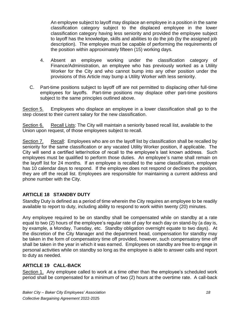An employee subject to layoff may displace an employee in a position in the same classification category subject to the displaced employee in the lower classification category having less seniority and provided the employee subject to layoff has the knowledge, skills and abilities to do the job (by the assigned job description). The employee must be capable of performing the requirements of the position within approximately fifteen (15) working days.

- 4. Absent an employee working under the classification category of Finance/Administration, an employee who has previously worked as a Utility Worker for the City and who cannot bump into any other position under the provisions of this Article may bump a Utility Worker with less seniority.
- C. Part-time positions subject to layoff off are not permitted to displacing other full-time employees for layoffs. Part-time positions may displace other part-time positions subject to the same principles outlined above.

Section 5. Employees who displace an employee in a lower classification shall go to the step closest to their current salary for the new classification.

Section 6. Recall Lists: The City will maintain a seniority based recall list, available to the Union upon request, of those employees subject to recall.

Section 7. Recall: Employees who are on the layoff list by classification shall be recalled by seniority for the same classification or any vacated Utility Worker position, if applicable. The City will send a certified letter/notice of recall to the employee's last known address. Such employees must be qualified to perform those duties. An employee's name shall remain on the layoff list for 24 months. If an employee is recalled to the same classification, employee has 10 calendar days to respond. If the employee does not respond or declines the position, they are off the recall list. Employees are responsible for maintaining a current address and phone number with the City.

#### **ARTICLE 18 STANDBY DUTY**

Standby Duty is defined as a period of time wherein the City requires an employee to be readily available to report to duty, including ability to respond to work within twenty (20) minutes.

Any employee required to be on standby shall be compensated while on standby at a rate equal to two (2) hours of the employee's regular rate of pay for each day on stand-by (a day is, by example, a Monday, Tuesday, etc. Standby obligation overnight equate to two days). At the discretion of the City Manager and the department head, compensation for standby may be taken in the form of compensatory time off provided, however, such compensatory time off shall be taken in the year in which it was earned. Employees on standby are free to engage in personal activities while on standby so long as the employee is able to answer calls and report to duty as needed.

#### **ARTICLE 19 CALL-BACK**

Section 1. Any employee called to work at a time other than the employee's scheduled work period shall be compensated for a minimum of two (2) hours at the overtime rate. A call-back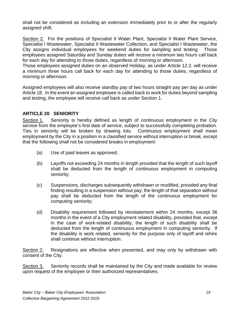shall not be considered as including an extension immediately prior to or after the regularly assigned shift.

Section 2. For the positions of Specialist II Water Plant, Specialist II Water Plant Service, Specialist I Wastewater, Specialist II Wastewater Collection, and Specialist I Wastewater, the City assigns individual employees for weekend duties for sampling and testing. Those employees assigned Saturday and Sunday duties will receive a minimum two hours call back for each day for attending to those duties, regardless of morning or afternoon.

Those employees assigned duties on an observed Holiday, as under Article 12.2, will receive a minimum three hours call back for each day for attending to those duties, regardless of morning or afternoon.

Assigned employees will also receive standby pay of two hours straight pay per day as under Article 18. In the event an assigned employee is called back to work for duties beyond sampling and testing, the employee will receive call back as under Section 1.

#### **ARTICLE 20 SENIORITY**

Section 1. Seniority is hereby defined as length of continuous employment in the City service from the employee's first date of service, subject to successfully completing probation. Ties in seniority will be broken by drawing lots. Continuous employment shall mean employment by the City in a position in a classified service without interruption or break, except that the following shall not be considered breaks in employment:

- (a) Use of paid leaves as approved;
- (b) Layoffs not exceeding 24 months in length provided that the length of such layoff shall be deducted from the length of continuous employment in computing seniority;
- (c) Suspensions, discharges subsequently withdrawn or modified, provided any final finding resulting in a suspension without pay; the length of that separation without pay shall be deducted from the length of the continuous employment for computing seniority;
- (d) Disability requirement followed by reinstatement within 24 months, except 36 months in the event of a City employment related disability, provided that, except in the case of work-related disability, the length of such disability shall be deducted from the length of continuous employment in computing seniority. If the disability is work related, seniority for the purpose only of layoff and rehire shall continue without interruption.

Section 2: Resignations are effective when presented, and may only by withdrawn with consent of the City.

Section 3. Seniority records shall be maintained by the City and made available for review upon request of the employee or their authorized representatives.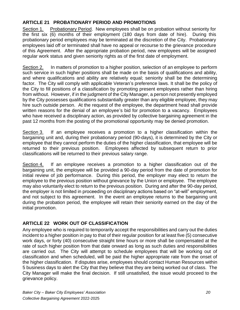#### **ARTICLE 21 PROBATIONARY PERIOD AND PROMOTIONS**

Section 1. Probationary Period. New employees shall be on probation without seniority for the first six (6) months of their employment (180 days from date of hire). During this probationary period employees may be terminated at the discretion of the City. Probationary employees laid off or terminated shall have no appeal or recourse to the grievance procedure of this Agreement. After the appropriate probation period, new employees will be assigned regular work status and given seniority rights as of the first date of employment.

Section 2. In matters of promotion to a higher position, selection of an employee to perform such service in such higher positions shall be made on the basis of qualifications and ability, and where qualifications and ability are relatively equal; seniority shall be the determining factor. The City will comply with applicable Veteran's preference laws. It shall be the policy of the City to fill positions of a classification by promoting present employees rather than hiring from without. However, if in the judgment of the City Manager, a person not presently employed by the City possesses qualifications substantially greater than any eligible employee, they may hire such outside person. At the request of the employee, the department head shall provide written reasons for the denial of an employee's bid for promotion to a vacancy. Employees who have received a disciplinary action, as provided by collective bargaining agreement in the past 12 months from the posting of the promotional opportunity may be denied promotion.

Section 3. If an employee receives a promotion to a higher classification within the bargaining unit and, during their probationary period (90-days), it is determined by the City or employee that they cannot perform the duties of the higher classification, that employee will be returned to their previous position. Employees affected by subsequent return to prior classifications will be returned to their previous salary range.

Section 4. If an employee receives a promotion to a higher classification out of the bargaining unit, the employee will be provided a 90-day period from the date of promotion for initial review of job performance. During this period, the employer may elect to return the employee to the previous position without grievance by the Union or employee. The employee may also voluntarily elect to return to the previous position. During and after the 90-day period, the employer is not limited in proceeding on disciplinary actions based on "at-will" employment, and not subject to this agreement. In the event an employee returns to the bargaining unit during the probation period, the employee will retain their seniority earned on the day of the initial promotion.

#### **ARTICLE 22 WORK OUT OF CLASSIFICATION**

Any employee who is required to temporarily accept the responsibilities and carry out the duties incident to a higher position in pay to that of their regular position for at least five (5) consecutive work days, or forty (40) consecutive straight time hours or more shall be compensated at the rate of such higher position from that date onward as long as such duties and responsibilities are carried out. The City will attempt to schedule employees that will be working out of classification and when scheduled, will be paid the higher appropriate rate from the onset of the higher classification. If disputes arise, employees should contact Human Resources within 5 business days to alert the City that they believe that they are being worked out of class. The City Manager will make the final decision. If still unsatisfied, the issue would proceed to the grievance policy.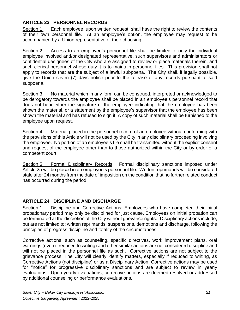#### **ARTICLE 23 PERSONNEL RECORDS**

Section 1. Each employee, upon written request, shall have the right to review the contents of their own personnel file. At an employee's option, the employee may request to be accompanied by a Union representative of their choosing.

Section 2. Access to an employee's personnel file shall be limited to only the individual employee involved and/or designated representative, such supervisors and administrators or confidential designees of the City who are assigned to review or place materials therein, and such clerical personnel whose duty it is to maintain personnel files. This provision shall not apply to records that are the subject of a lawful subpoena. The City shall, if legally possible, give the Union seven (7) days notice prior to the release of any records pursuant to said subpoena.

Section 3. No material which in any form can be construed, interpreted or acknowledged to be derogatory towards the employee shall be placed in an employee's personnel record that does not bear either the signature of the employee indicating that the employee has been shown the material, or a statement by the employee's supervisor that the employee has been shown the material and has refused to sign it. A copy of such material shall be furnished to the employee upon request.

Section 4. Material placed in the personnel record of an employee without conforming with the provisions of this Article will not be used by the City in any disciplinary proceeding involving the employee. No portion of an employee's file shall be transmitted without the explicit consent and request of the employee other than to those authorized within the City or by order of a competent court.

Section 5. Formal Disciplinary Records. Formal disciplinary sanctions imposed under Article 25 will be placed in an employee's personnel file. Written reprimands will be considered stale after 24 months from the date of imposition on the condition that no further related conduct has occurred during the period.

#### **ARTICLE 24 DISCIPLINE AND DISCHARGE**

Section 1. Discipline and Corrective Actions: Employees who have completed their initial probationary period may only be disciplined for just cause. Employees on initial probation can be terminated at the discretion of the City without grievance rights. Disciplinary actions include, but are not limited to: written reprimands, suspensions, demotions and discharge, following the principles of progress discipline and totality of the circumstances.

Corrective actions, such as counseling, specific directives, work improvement plans, oral warnings (even if reduced to writing) and other similar actions are not considered discipline and will not be placed in the personnel file as such. Corrective actions are not subject to the grievance process. The City will clearly identify matters, especially if reduced to writing, as Corrective Actions (not discipline) or as a Disciplinary Action. Corrective actions may be used for "notice" for progressive disciplinary sanctions and are subject to review in yearly evaluations. Upon yearly evaluations, corrective actions are deemed resolved or addressed by additional counseling or performance evaluations.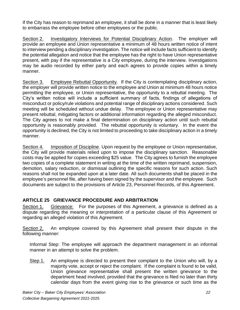If the City has reason to reprimand an employee, it shall be done in a manner that is least likely to embarrass the employee before other employees or the public.

Section 2. Investigatory Interviews for Potential Disciplinary Action. The employer will provide an employee and Union representative a minimum of 48 hours written notice of intent to interview pending a disciplinary investigation. The notice will include facts sufficient to identify the potential allegation and notice that the employee has the right to have Union representative present, with pay if the representative is a City employee, during the interview. Investigations may be audio recorded by either party and each agrees to provide copies within a timely manner.

Section 3. Employee Rebuttal Opportunity. If the City is contemplating disciplinary action, the employer will provide written notice to the employee and Union at minimum 48 hours notice permitting the employee, or Union representative, the opportunity to a rebuttal meeting. The City's written notice will include a sufficient summary of facts, findings of allegations of misconduct or policy/rule violations and potential range of disciplinary actions considered. Such meeting will be scheduled without undue delay. The employee or Union representative may present rebuttal, mitigating factors or additional information regarding the alleged misconduct. The City agrees to not make a final determination on disciplinary action until such rebuttal opportunity is reasonably provided. The rebuttal opportunity is voluntary. In the event the opportunity is declined, the City is not limited to proceeding to take disciplinary action in a timely manner.

Section 4. Imposition of Discipline. Upon request by the employee or Union representative, the City will provide materials relied upon to impose the disciplinary sanction. Reasonable costs may be applied for copies exceeding \$25 value. The City agrees to furnish the employee two copies of a complete statement in writing at the time of the written reprimand, suspension, demotion, salary reduction, or dismissal outlining the specific reasons for such action. Such reasons shall not be expanded upon at a later date. All such documents shall be placed in the employee's personnel file, after having been signed by the supervisor and the employee. Such documents are subject to the provisions of Article 23, Personnel Records, of this Agreement.

#### **ARTICLE 25 GRIEVANCE PROCEDURE AND ARBITRATION**

Section 1. Grievance: For the purposes of this Agreement, a grievance is defined as a dispute regarding the meaning or interpretation of a particular clause of this Agreement or regarding an alleged violation of this Agreement.

Section 2. An employee covered by this Agreement shall present their dispute in the following manner:

Informal Step: The employee will approach the department management in an informal manner in an attempt to solve the problem.

Step 1. An employee is directed to present their complaint to the Union who will, by a majority vote, accept or reject the complaint. If the complaint is found to be valid, Union grievance representative shall present the written grievance to the department head involved, provided that the grievance is filed no later than thirty calendar days from the event giving rise to the grievance or such time as the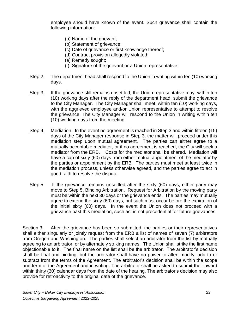employee should have known of the event. Such grievance shall contain the following information:

- (a) Name of the grievant;
- (b) Statement of grievance:
- (c) Date of grievance or first knowledge thereof;
- (d) Contract provision allegedly violated;
- (e) Remedy sought;
- (f) Signature of the grievant or a Union representative;
- Step 2. The department head shall respond to the Union in writing within ten (10) working days.
- Step 3. If the grievance still remains unsettled, the Union representative may, within ten (10) working days after the reply of the department head, submit the grievance to the City Manager. The City Manager shall meet, within ten (10) working days, with the aggrieved employee and/or Union representative to attempt to resolve the grievance. The City Manager will respond to the Union in writing within ten (10) working days from the meeting.
- Step 4. Mediation. In the event no agreement is reached in Step 3 and within fifteen (15) days of the City Manager response in Step 3, the matter will proceed under this mediation step upon mutual agreement. The parties can either agree to a mutually acceptable mediator, or if no agreement is reached, the City will seek a mediator from the ERB. Costs for the mediator shall be shared. Mediation will have a cap of sixty (60) days from either mutual appointment of the mediator by the parties or appointment by the ERB. The parties must meet at least twice in the mediation process, unless otherwise agreed, and the parties agree to act in good faith to resolve the dispute.
- Step 5 If the grievance remains unsettled after the sixty (60) days, either party may move to Step 5, Binding Arbitration. Request for Arbitration by the moving party must be within the next 30 days or the grievance ends. The parties may mutually agree to extend the sixty (60) days, but such must occur before the expiration of the initial sixty (60) days. In the event the Union does not proceed with a grievance past this mediation, such act is not precedential for future grievances.

Section 3. After the grievance has been so submitted, the parties or their representatives shall either singularly or jointly request from the ERB a list of names of seven (7) arbitrators from Oregon and Washington. The parties shall select an arbitrator from the list by mutually agreeing to an arbitrator, or by alternately striking names. The Union shall strike the first name objectionable to it. The final name on the list shall be the arbitrator. The arbitrator's decision shall be final and binding, but the arbitrator shall have no power to alter, modify, add to or subtract from the terms of the Agreement. The arbitrator's decision shall be within the scope and term of the Agreement and in writing. The arbitrator shall be asked to submit their award within thirty (30) calendar days from the date of the hearing. The arbitrator's decision may also provide for retroactivity to the original date of the grievance.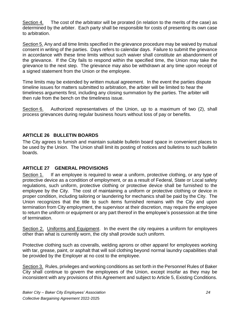Section 4. The cost of the arbitrator will be prorated (in relation to the merits of the case) as determined by the arbiter. Each party shall be responsible for costs of presenting its own case to arbitration.

Section 5. Any and all time limits specified in the grievance procedure may be waived by mutual consent in writing of the parties. Days refers to calendar days. Failure to submit the grievance in accordance with these time limits without such waiver shall constitute an abandonment of the grievance. If the City fails to respond within the specified time, the Union may take the grievance to the next step. The grievance may also be withdrawn at any time upon receipt of a signed statement from the Union or the employee.

Time limits may be extended by written mutual agreement. In the event the parties dispute timeline issues for matters submitted to arbitration, the arbiter will be limited to hear the timeliness arguments first, including any closing summation by the parties. The arbiter will then rule from the bench on the timeliness issue.

Section 6. Authorized representatives of the Union, up to a maximum of two (2), shall process grievances during regular business hours without loss of pay or benefits.

#### **ARTICLE 26 BULLETIN BOARDS**

The City agrees to furnish and maintain suitable bulletin board space in convenient places to be used by the Union. The Union shall limit its posting of notices and bulletins to such bulletin boards.

#### **ARTICLE 27 GENERAL PROVISIONS**

Section 1. If an employee is required to wear a uniform, protective clothing, or any type of protective device as a condition of employment, or as a result of Federal, State or Local safety regulations, such uniform, protective clothing or protective device shall be furnished to the employee by the City. The cost of maintaining a uniform or protective clothing or device in proper condition, including tailoring or laundering for mechanics shall be paid by the City. The Union recognizes that the title to such items furnished remains with the City and upon termination from City employment, the supervisor at their discretion, may require the employee to return the uniform or equipment or any part thereof in the employee's possession at the time of termination.

Section 2. Uniforms and Equipment. In the event the city requires a uniform for employees other than what is currently worn, the city shall provide such uniform.

Protective clothing such as coveralls, welding aprons or other apparel for employees working with tar, grease, paint, or asphalt that will soil clothing beyond normal laundry capabilities shall be provided by the Employer at no cost to the employee.

Section 3. Rules, privileges and working conditions as set forth in the Personnel Rules of Baker City shall continue to govern the employees of the Union, except insofar as they may be inconsistent with any provisions of this Agreement and subject to Article 5, Existing Conditions.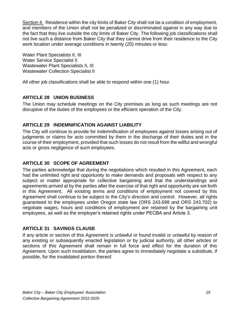Section 4. Residence within the city limits of Baker City shall not be a condition of employment, and members of the Union shall not be penalized or discriminated against in any way due to the fact that they live outside the city limits of Baker City. The following job classifications shall not live such a distance from Baker City that they cannot drive from their residence to the City work location under average conditions in twenty (20) minutes or less:

Water Plant Specialists II, III Water Service Specialist II Wastewater Plant Specialists II, III Wastewater Collection Specialist II

All other job classifications shall be able to respond within one (1) hour.

#### **ARTICLE 28 UNION BUSINESS**

The Union may schedule meetings on the City premises as long as such meetings are not disruptive of the duties of the employees or the efficient operation of the City.

#### **ARTICLE 29 INDEMNIFICATION AGAINST LIABILITY**

The City will continue to provide for indemnification of employees against losses arising out of judgments or claims for acts committed by them in the discharge of their duties and in the course of their employment, provided that such losses do not result from the willful and wrongful acts or gross negligence of such employees.

#### **ARTICLE 30 SCOPE OF AGREEMENT**

The parties acknowledge that during the negotiations which resulted in this Agreement, each had the unlimited right and opportunity to make demands and proposals with respect to any subject or matter appropriate for collective bargaining and that the understandings and agreements arrived at by the parties after the exercise of that right and opportunity are set forth in this Agreement. All existing terms and conditions of employment not covered by this Agreement shall continue to be subject to the City's direction and control. However, all rights guaranteed to the employees under Oregon state law (ORS 243.698 and ORS 243.702) to negotiate wages, hours and conditions of employment are retained by the bargaining unit employees, as well as the employer's retained rights under PECBA and Article 3.

#### **ARTICLE 31 SAVINGS CLAUSE**

If any article or section of this Agreement is unlawful or found invalid or unlawful by reason of any existing or subsequently enacted legislation or by judicial authority, all other articles or sections of this Agreement shall remain in full force and effect for the duration of this Agreement. Upon such invalidation, the parties agree to immediately negotiate a substitute, if possible, for the invalidated portion thereof.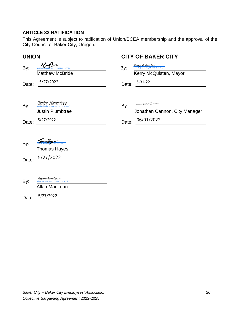#### **ARTICLE 32 RATIFICATION**

This Agreement is subject to ratification of Union/BCEA membership and the approval of the City Council of Baker City, Oregon.

| <b>UNION</b> |                                                                      | <b>CITY OF BAKER CITY</b> |                                                                    |  |  |
|--------------|----------------------------------------------------------------------|---------------------------|--------------------------------------------------------------------|--|--|
| By:          | $(08:13$ PDT)                                                        | By:                       | <b>Kerry McQuisten</b><br>Kerry McQuisten (May 31, 2022 19:01 PDT) |  |  |
|              | <b>Matthew McBride</b>                                               |                           | Kerry McQuisten, Mayor                                             |  |  |
| Date:        | 5/27/2022                                                            | Date:                     | $5 - 31 - 22$                                                      |  |  |
|              |                                                                      |                           |                                                                    |  |  |
| By:          | <u>JUSTIN PUUMBTVEE</u><br>Justin Plumbtree (May 27, 2022 11:45 PDT) | By:                       | SHARTHAN CLANON                                                    |  |  |
|              | <b>Justin Plumbtree</b>                                              |                           | Jonathan Cannon, City Manager                                      |  |  |
| Date:        | 5/27/2022                                                            | Date:                     | 06/01/2022                                                         |  |  |
|              |                                                                      |                           |                                                                    |  |  |
| By:          |                                                                      |                           |                                                                    |  |  |
|              | <b>Thomas Hayes</b>                                                  |                           |                                                                    |  |  |
| Date:        | 5/27/2022                                                            |                           |                                                                    |  |  |
|              |                                                                      |                           |                                                                    |  |  |
| By:          | A <i>llan MacLoan</i><br>Allan MacLean (May 27, 2022 15:47 MDT)      |                           |                                                                    |  |  |
|              | Allan MacLean                                                        |                           |                                                                    |  |  |
| Date:        | 5/27/2022                                                            |                           |                                                                    |  |  |
|              |                                                                      |                           |                                                                    |  |  |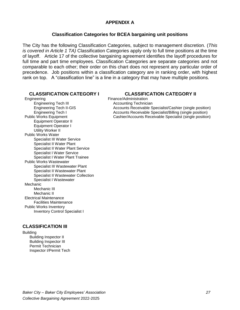#### **APPENDIX A**

#### **Classification Categories for BCEA bargaining unit positions**

The City has the following Classification Categories, subject to management discretion. (*This is covered in Article 1 TA)* Classification Categories apply only to full time positions at the time of layoff. Article 17 of the collective bargaining agreement identifies the layoff procedures for full time and part time employees. Classification Categories are separate categories and not comparable to each other; their order on this chart does not represent any particular order of precedence. Job positions within a classification category are in ranking order, with highest rank on top. A "classification line" is a line in a category that may have multiple positions.

#### Engineering Finance/Administration Engineering Tech III Accounting Technician<br>
Engineering Tech II-GIS<br>
Accounts Receivable S Equipment Operator II Equipment Operator I Utility Worker II Public Works Water Specialist III Water Service Specialist II Water Plant Specialist II Water Plant Service Specialist I Water Service Specialist I Water Plant Trainee Public Works Wastewater Specialist III Wastewater Plant Specialist II Wastewater Plant Specialist II Wastewater Collection Specialist I Wastewater Mechanic Mechanic III Mechanic II Electrical Maintenance Facilities Maintenance Public Works Inventory Inventory Control Specialist I

#### **CLASSIFICATION III**

**Building** Building Inspector II Building Inspector III Permit Technician Inspector I/Permit Tech

#### **CLASSIFICATION CATEGORY I CLASSIFICATION CATEGORY II**

Engineering Tech II-GIS<br>
Engineering Tech I<br>
Accounts Receivable Specialist/Billing (single position)<br>
Accounts Receivable Specialist/Billing (single position) Accounts Receivable Specialist/Billing (single position) Public Works Equipment Cashier/Accounts Receivable Specialist (single position)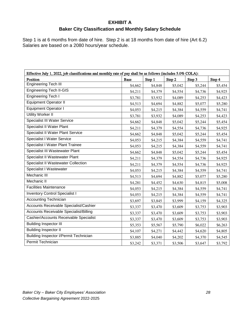#### **EXHIBIT A**

### **Baker City Classification and Monthly Salary Schedule**

Step 1 is at 6 months from date of hire. Step 2 is at 18 months from date of hire (Art 6.2) Salaries are based on a 2080 hours/year schedule.

| Effective July 1, 2022, job classifications and monthly rate of pay shall be as follows (includes 5.0% COLA): |             |         |         |         |         |
|---------------------------------------------------------------------------------------------------------------|-------------|---------|---------|---------|---------|
| Position                                                                                                      | <b>Base</b> | Step 1  | Step 2  | Step 3  | Step 4  |
| <b>Engineering Tech III</b>                                                                                   | \$4,662     | \$4,848 | \$5,042 | \$5,244 | \$5,454 |
| <b>Engineering Tech II-GIS</b>                                                                                | \$4,211     | \$4,379 | \$4,554 | \$4,736 | \$4,925 |
| <b>Engineering Tech I</b>                                                                                     | \$3,781     | \$3,932 | \$4,089 | \$4,253 | \$4,423 |
| <b>Equipment Operator II</b>                                                                                  | \$4,513     | \$4,694 | \$4,882 | \$5,077 | \$5,280 |
| <b>Equipment Operator I</b>                                                                                   | \$4,053     | \$4,215 | \$4,384 | \$4,559 | \$4,741 |
| <b>Utility Worker II</b>                                                                                      | \$3,781     | \$3,932 | \$4,089 | \$4,253 | \$4,423 |
| Specialist III Water Service                                                                                  | \$4,662     | \$4,848 | \$5,042 | \$5,244 | \$5,454 |
| Specialist II Water Plant                                                                                     | \$4,211     | \$4,379 | \$4,554 | \$4,736 | \$4,925 |
| <b>Specialist II Water Plant Service</b>                                                                      | \$4,662     | \$4,848 | \$5,042 | \$5,244 | \$5,454 |
| <b>Specialist I Water Service</b>                                                                             | \$4,053     | \$4,215 | \$4,384 | \$4,559 | \$4,741 |
| <b>Specialist I Water Plant Trainee</b>                                                                       | \$4,053     | \$4,215 | \$4,384 | \$4,559 | \$4,741 |
| Specialist III Wastewater Plant                                                                               | \$4,662     | \$4,848 | \$5,042 | \$5,244 | \$5,454 |
| Specialist II Wastewater Plant                                                                                | \$4,211     | \$4,379 | \$4,554 | \$4,736 | \$4,925 |
| <b>Specialist II Wastewater Collection</b>                                                                    | \$4,211     | \$4,379 | \$4,554 | \$4,736 | \$4,925 |
| Specialist I Wastewater                                                                                       | \$4,053     | \$4,215 | \$4,384 | \$4,559 | \$4,741 |
| Mechanic III                                                                                                  | \$4,513     | \$4,694 | \$4,882 | \$5,077 | \$5,280 |
| Mechanic II                                                                                                   | \$4,281     | \$4,452 | \$4,630 | \$4,815 | \$5,008 |
| <b>Facilities Maintenance</b>                                                                                 | \$4,053     | \$4,215 | \$4,384 | \$4,559 | \$4,741 |
| <b>Inventory Control Specialist I</b>                                                                         | \$4,053     | \$4,215 | \$4,384 | \$4,559 | \$4,741 |
| <b>Accounting Technician</b>                                                                                  | \$3,697     | \$3,845 | \$3,999 | \$4,159 | \$4,325 |
| Accounts Receivable Specialist/Cashier                                                                        | \$3,337     | \$3,470 | \$3,609 | \$3,753 | \$3,903 |
| <b>Accounts Receivable Specialist/Billing</b>                                                                 | \$3,337     | \$3,470 | \$3,609 | \$3,753 | \$3,903 |
| Cashier/Accounts Receivable Specialist                                                                        | \$3,337     | \$3,470 | \$3,609 | \$3,753 | \$3,903 |
| <b>Building Inspector III</b>                                                                                 | \$5,353     | \$5,567 | \$5,790 | \$6,022 | \$6,263 |
| <b>Building Inspector II</b>                                                                                  | \$4,107     | \$4,271 | \$4,442 | \$4,620 | \$4,805 |
| <b>Building Inspector I/Permit Technician</b>                                                                 | \$3,885     | \$4,040 | \$4,202 | \$4,370 | \$4,545 |
| Permit Technician                                                                                             | \$3,242     | \$3,371 | \$3,506 | \$3,647 | \$3,792 |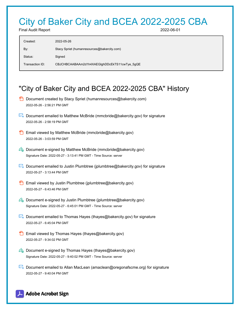### City of Baker City and BCEA 2022-2025 CBA

Final Audit Report 2022-06-01

| Created:          | 2022-05-26                                   |
|-------------------|----------------------------------------------|
| By:               | Stacy Spriet (humanresources@bakercity.com)  |
| Status:<br>Signed |                                              |
| Transaction ID:   | CBJCHBCAABAAm2d1h4XAEGIghDDcEkTS11cwTye_5gQE |

### "City of Baker City and BCEA 2022-2025 CBA" History

- **D** Document created by Stacy Spriet (humanresources@bakercity.com) 2022-05-26 - 2:56:21 PM GMT
- Document emailed to Matthew McBride (mmcbride@bakercity.gov) for signature 2022-05-26 - 2:58:19 PM GMT
- Email viewed by Matthew McBride (mmcbride@bakercity.gov) 2022-05-26 - 3:03:59 PM GMT
- $\mathscr{O}_\bullet$  Document e-signed by Matthew McBride (mmcbride@bakercity.gov) Signature Date: 2022-05-27 - 3:13:41 PM GMT - Time Source: server
- **Document emailed to Justin Plumbtree (jplumbtree@bakercity.gov) for signature** 2022-05-27 - 3:13:44 PM GMT
- **Email viewed by Justin Plumbtree (jplumbtree@bakercity.gov)** 2022-05-27 - 6:43:46 PM GMT
- $\mathscr{O}_0$  Document e-signed by Justin Plumbtree (jplumbtree@bakercity.gov) Signature Date: 2022-05-27 - 6:45:01 PM GMT - Time Source: server
- $\mathbb{R}$  Document emailed to Thomas Hayes (thayes@bakercity.gov) for signature 2022-05-27 - 6:45:04 PM GMT
- **Email viewed by Thomas Hayes (thayes@bakercity.gov)** 2022-05-27 - 9:34:02 PM GMT
- $\mathscr{O}_0$  Document e-signed by Thomas Hayes (thayes@bakercity.gov) Signature Date: 2022-05-27 - 9:40:02 PM GMT - Time Source: server
- Document emailed to Allan MacLean (amaclean@oregonafscme.org) for signature 2022-05-27 - 9:40:04 PM GMT

#### Adobe Acrobat Sign